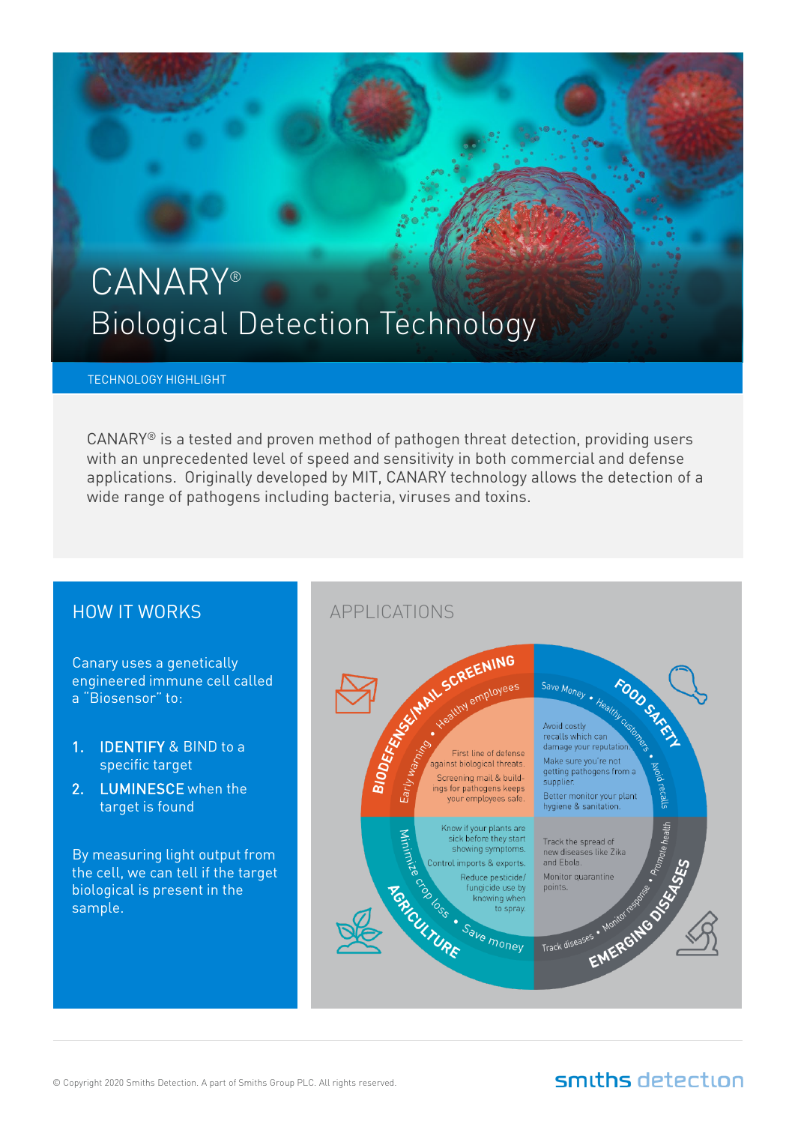# CANARY® Biological Detection Technology

#### TECHNOLOGY HIGHLIGHT

 $CANARY<sup>®</sup>$  is a tested and proven method of pathogen threat detection, providing users with an unprecedented level of speed and sensitivity in both commercial and defense applications. Originally developed by MIT, CANARY technology allows the detection of a wide range of pathogens including bacteria, viruses and toxins.

### HOW IT WORKS

Canary uses a genetically engineered immune cell called a "Biosensor" to:

- 1. **IDENTIFY & BIND to a** specific target
- 2. LUMINESCE when the target is found

By measuring light output from the cell, we can tell if the target biological is present in the sample.



### smiths detection